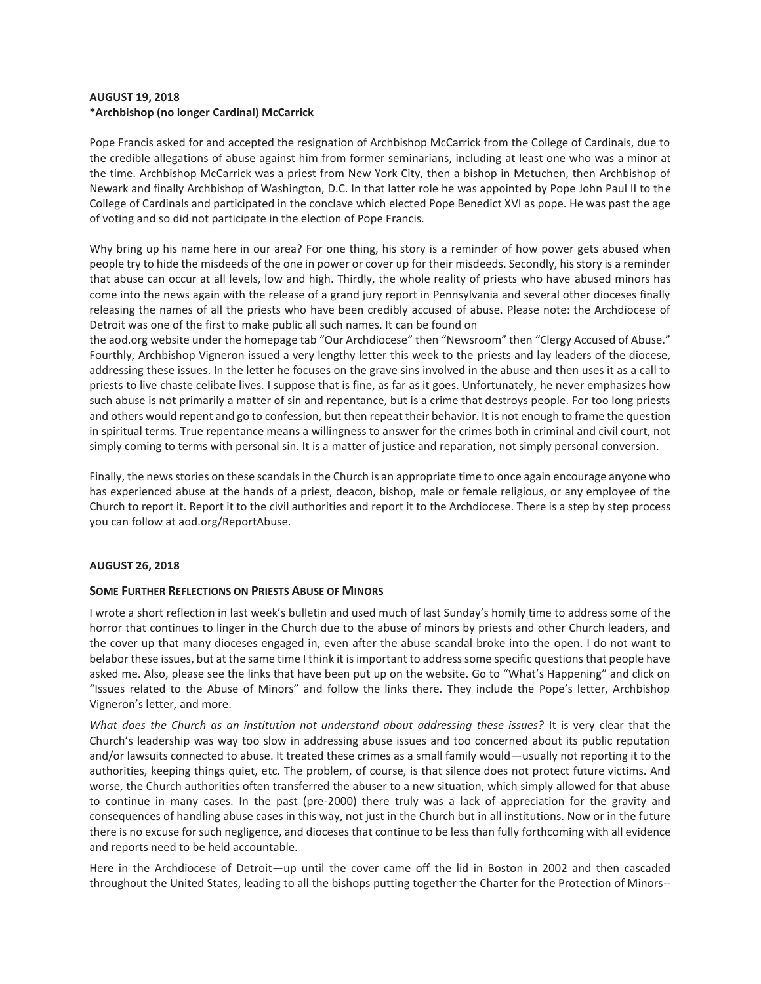### **AUGUST 19, 2018 \*Archbishop (no longer Cardinal) McCarrick**

Pope Francis asked for and accepted the resignation of Archbishop McCarrick from the College of Cardinals, due to the credible allegations of abuse against him from former seminarians, including at least one who was a minor at the time. Archbishop McCarrick was a priest from New York City, then a bishop in Metuchen, then Archbishop of Newark and finally Archbishop of Washington, D.C. In that latter role he was appointed by Pope John Paul II to the College of Cardinals and participated in the conclave which elected Pope Benedict XVI as pope. He was past the age of voting and so did not participate in the election of Pope Francis.

Why bring up his name here in our area? For one thing, his story is a reminder of how power gets abused when people try to hide the misdeeds of the one in power or cover up for their misdeeds. Secondly, his story is a reminder that abuse can occur at all levels, low and high. Thirdly, the whole reality of priests who have abused minors has come into the news again with the release of a grand jury report in Pennsylvania and several other dioceses finally releasing the names of all the priests who have been credibly accused of abuse. Please note: the Archdiocese of Detroit was one of the first to make public all such names. It can be found on

the aod.org website under the homepage tab "Our Archdiocese" then "Newsroom" then "Clergy Accused of Abuse." Fourthly, Archbishop Vigneron issued a very lengthy letter this week to the priests and lay leaders of the diocese, addressing these issues. In the letter he focuses on the grave sins involved in the abuse and then uses it as a call to priests to live chaste celibate lives. I suppose that is fine, as far as it goes. Unfortunately, he never emphasizes how such abuse is not primarily a matter of sin and repentance, but is a crime that destroys people. For too long priests and others would repent and go to confession, but then repeat their behavior. It is not enough to frame the question in spiritual terms. True repentance means a willingness to answer for the crimes both in criminal and civil court, not simply coming to terms with personal sin. It is a matter of justice and reparation, not simply personal conversion.

Finally, the news stories on these scandals in the Church is an appropriate time to once again encourage anyone who has experienced abuse at the hands of a priest, deacon, bishop, male or female religious, or any employee of the Church to report it. Report it to the civil authorities and report it to the Archdiocese. There is a step by step process you can follow at aod.org/ReportAbuse.

## **AUGUST 26, 2018**

### **SOME FURTHER REFLECTIONS ON PRIESTS ABUSE OF MINORS**

I wrote a short reflection in last week's bulletin and used much of last Sunday's homily time to address some of the horror that continues to linger in the Church due to the abuse of minors by priests and other Church leaders, and the cover up that many dioceses engaged in, even after the abuse scandal broke into the open. I do not want to belabor these issues, but at the same time I think it is important to address some specific questions that people have asked me. Also, please see the links that have been put up on the website. Go to "What's Happening" and click on "Issues related to the Abuse of Minors" and follow the links there. They include the Pope's letter, Archbishop Vigneron's letter, and more.

*What does the Church as an institution not understand about addressing these issues?* It is very clear that the Church's leadership was way too slow in addressing abuse issues and too concerned about its public reputation and/or lawsuits connected to abuse. It treated these crimes as a small family would—usually not reporting it to the authorities, keeping things quiet, etc. The problem, of course, is that silence does not protect future victims. And worse, the Church authorities often transferred the abuser to a new situation, which simply allowed for that abuse to continue in many cases. In the past (pre-2000) there truly was a lack of appreciation for the gravity and consequences of handling abuse cases in this way, not just in the Church but in all institutions. Now or in the future there is no excuse for such negligence, and dioceses that continue to be less than fully forthcoming with all evidence and reports need to be held accountable.

Here in the Archdiocese of Detroit—up until the cover came off the lid in Boston in 2002 and then cascaded throughout the United States, leading to all the bishops putting together the Charter for the Protection of Minors--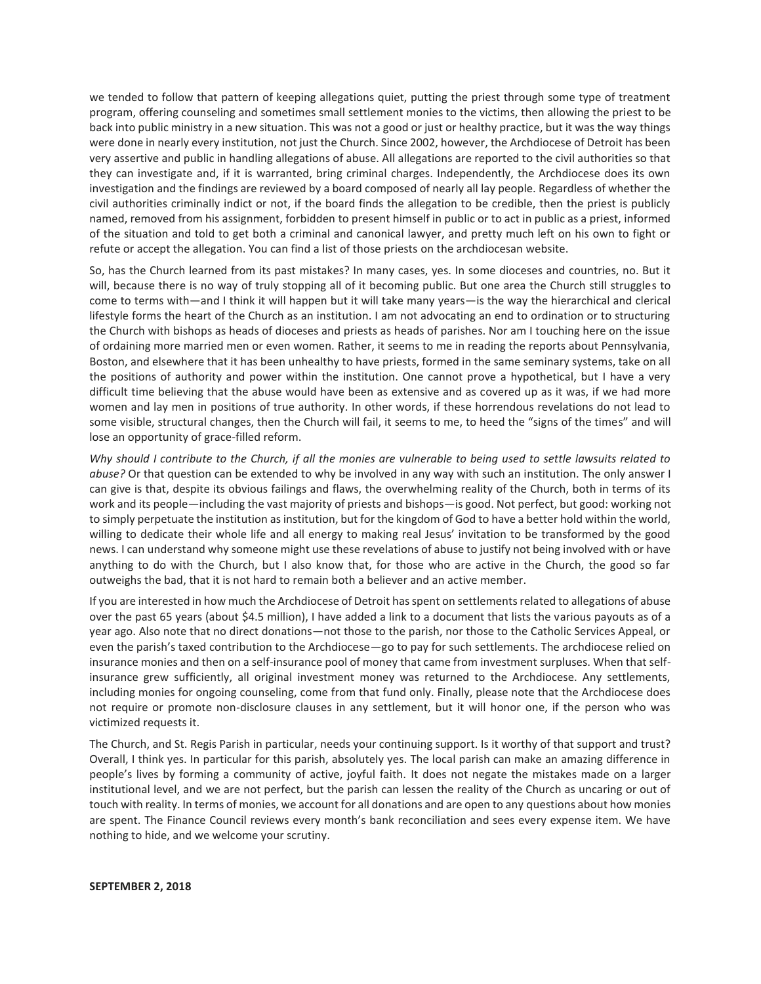we tended to follow that pattern of keeping allegations quiet, putting the priest through some type of treatment program, offering counseling and sometimes small settlement monies to the victims, then allowing the priest to be back into public ministry in a new situation. This was not a good or just or healthy practice, but it was the way things were done in nearly every institution, not just the Church. Since 2002, however, the Archdiocese of Detroit has been very assertive and public in handling allegations of abuse. All allegations are reported to the civil authorities so that they can investigate and, if it is warranted, bring criminal charges. Independently, the Archdiocese does its own investigation and the findings are reviewed by a board composed of nearly all lay people. Regardless of whether the civil authorities criminally indict or not, if the board finds the allegation to be credible, then the priest is publicly named, removed from his assignment, forbidden to present himself in public or to act in public as a priest, informed of the situation and told to get both a criminal and canonical lawyer, and pretty much left on his own to fight or refute or accept the allegation. You can find a list of those priests on the archdiocesan website.

So, has the Church learned from its past mistakes? In many cases, yes. In some dioceses and countries, no. But it will, because there is no way of truly stopping all of it becoming public. But one area the Church still struggles to come to terms with—and I think it will happen but it will take many years—is the way the hierarchical and clerical lifestyle forms the heart of the Church as an institution. I am not advocating an end to ordination or to structuring the Church with bishops as heads of dioceses and priests as heads of parishes. Nor am I touching here on the issue of ordaining more married men or even women. Rather, it seems to me in reading the reports about Pennsylvania, Boston, and elsewhere that it has been unhealthy to have priests, formed in the same seminary systems, take on all the positions of authority and power within the institution. One cannot prove a hypothetical, but I have a very difficult time believing that the abuse would have been as extensive and as covered up as it was, if we had more women and lay men in positions of true authority. In other words, if these horrendous revelations do not lead to some visible, structural changes, then the Church will fail, it seems to me, to heed the "signs of the times" and will lose an opportunity of grace-filled reform.

*Why should I contribute to the Church, if all the monies are vulnerable to being used to settle lawsuits related to abuse?* Or that question can be extended to why be involved in any way with such an institution. The only answer I can give is that, despite its obvious failings and flaws, the overwhelming reality of the Church, both in terms of its work and its people—including the vast majority of priests and bishops—is good. Not perfect, but good: working not to simply perpetuate the institution as institution, but for the kingdom of God to have a better hold within the world, willing to dedicate their whole life and all energy to making real Jesus' invitation to be transformed by the good news. I can understand why someone might use these revelations of abuse to justify not being involved with or have anything to do with the Church, but I also know that, for those who are active in the Church, the good so far outweighs the bad, that it is not hard to remain both a believer and an active member.

If you are interested in how much the Archdiocese of Detroit has spent on settlements related to allegations of abuse over the past 65 years (about \$4.5 million), I have added a link to a document that lists the various payouts as of a year ago. Also note that no direct donations—not those to the parish, nor those to the Catholic Services Appeal, or even the parish's taxed contribution to the Archdiocese—go to pay for such settlements. The archdiocese relied on insurance monies and then on a self-insurance pool of money that came from investment surpluses. When that selfinsurance grew sufficiently, all original investment money was returned to the Archdiocese. Any settlements, including monies for ongoing counseling, come from that fund only. Finally, please note that the Archdiocese does not require or promote non-disclosure clauses in any settlement, but it will honor one, if the person who was victimized requests it.

The Church, and St. Regis Parish in particular, needs your continuing support. Is it worthy of that support and trust? Overall, I think yes. In particular for this parish, absolutely yes. The local parish can make an amazing difference in people's lives by forming a community of active, joyful faith. It does not negate the mistakes made on a larger institutional level, and we are not perfect, but the parish can lessen the reality of the Church as uncaring or out of touch with reality. In terms of monies, we account for all donations and are open to any questions about how monies are spent. The Finance Council reviews every month's bank reconciliation and sees every expense item. We have nothing to hide, and we welcome your scrutiny.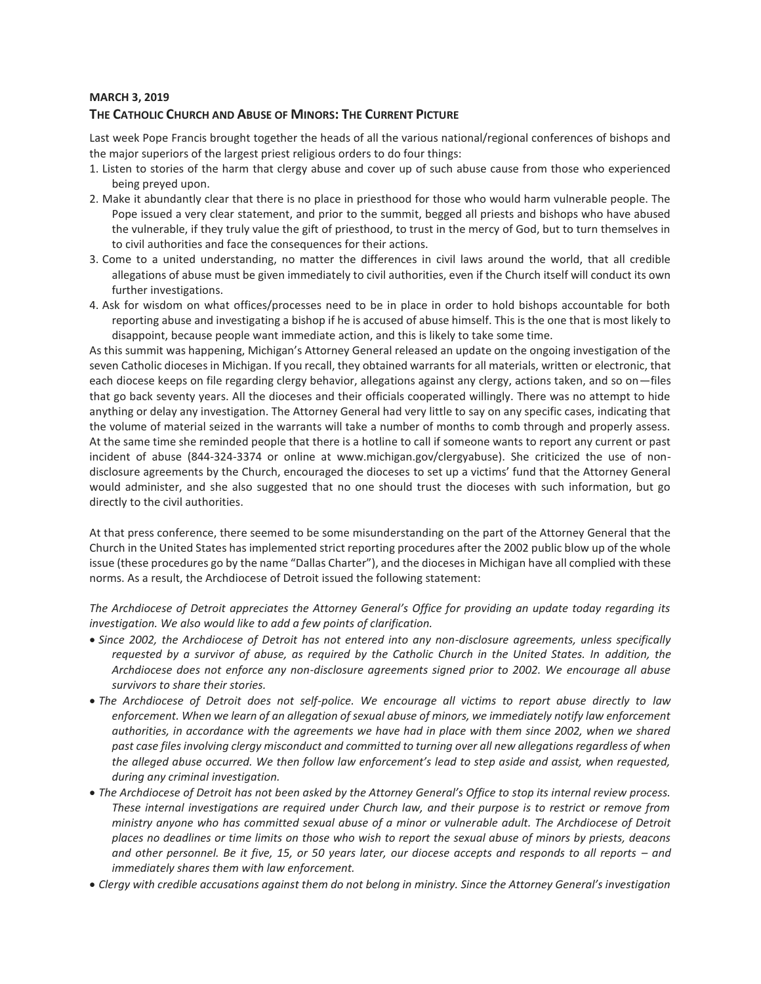### **MARCH 3, 2019**

## **THE CATHOLIC CHURCH AND ABUSE OF MINORS: THE CURRENT PICTURE**

Last week Pope Francis brought together the heads of all the various national/regional conferences of bishops and the major superiors of the largest priest religious orders to do four things:

- 1. Listen to stories of the harm that clergy abuse and cover up of such abuse cause from those who experienced being preyed upon.
- 2. Make it abundantly clear that there is no place in priesthood for those who would harm vulnerable people. The Pope issued a very clear statement, and prior to the summit, begged all priests and bishops who have abused the vulnerable, if they truly value the gift of priesthood, to trust in the mercy of God, but to turn themselves in to civil authorities and face the consequences for their actions.
- 3. Come to a united understanding, no matter the differences in civil laws around the world, that all credible allegations of abuse must be given immediately to civil authorities, even if the Church itself will conduct its own further investigations.
- 4. Ask for wisdom on what offices/processes need to be in place in order to hold bishops accountable for both reporting abuse and investigating a bishop if he is accused of abuse himself. This is the one that is most likely to disappoint, because people want immediate action, and this is likely to take some time.

As this summit was happening, Michigan's Attorney General released an update on the ongoing investigation of the seven Catholic dioceses in Michigan. If you recall, they obtained warrants for all materials, written or electronic, that each diocese keeps on file regarding clergy behavior, allegations against any clergy, actions taken, and so on—files that go back seventy years. All the dioceses and their officials cooperated willingly. There was no attempt to hide anything or delay any investigation. The Attorney General had very little to say on any specific cases, indicating that the volume of material seized in the warrants will take a number of months to comb through and properly assess. At the same time she reminded people that there is a hotline to call if someone wants to report any current or past incident of abuse (844-324-3374 or online at www.michigan.gov/clergyabuse). She criticized the use of nondisclosure agreements by the Church, encouraged the dioceses to set up a victims' fund that the Attorney General would administer, and she also suggested that no one should trust the dioceses with such information, but go directly to the civil authorities.

At that press conference, there seemed to be some misunderstanding on the part of the Attorney General that the Church in the United States has implemented strict reporting procedures after the 2002 public blow up of the whole issue (these procedures go by the name "Dallas Charter"), and the dioceses in Michigan have all complied with these norms. As a result, the Archdiocese of Detroit issued the following statement:

*The Archdiocese of Detroit appreciates the Attorney General's Office for providing an update today regarding its investigation. We also would like to add a few points of clarification.*

- *Since 2002, the Archdiocese of Detroit has not entered into any non-disclosure agreements, unless specifically requested by a survivor of abuse, as required by the Catholic Church in the United States. In addition, the Archdiocese does not enforce any non-disclosure agreements signed prior to 2002. We encourage all abuse survivors to share their stories.*
- *The Archdiocese of Detroit does not self-police. We encourage all victims to report abuse directly to law enforcement. When we learn of an allegation of sexual abuse of minors, we immediately notify law enforcement authorities, in accordance with the agreements we have had in place with them since 2002, when we shared past case files involving clergy misconduct and committed to turning over all new allegations regardless of when the alleged abuse occurred. We then follow law enforcement's lead to step aside and assist, when requested, during any criminal investigation.*
- *The Archdiocese of Detroit has not been asked by the Attorney General's Office to stop its internal review process. These internal investigations are required under Church law, and their purpose is to restrict or remove from ministry anyone who has committed sexual abuse of a minor or vulnerable adult. The Archdiocese of Detroit places no deadlines or time limits on those who wish to report the sexual abuse of minors by priests, deacons and other personnel. Be it five, 15, or 50 years later, our diocese accepts and responds to all reports – and immediately shares them with law enforcement.*
- *Clergy with credible accusations against them do not belong in ministry. Since the Attorney General's investigation*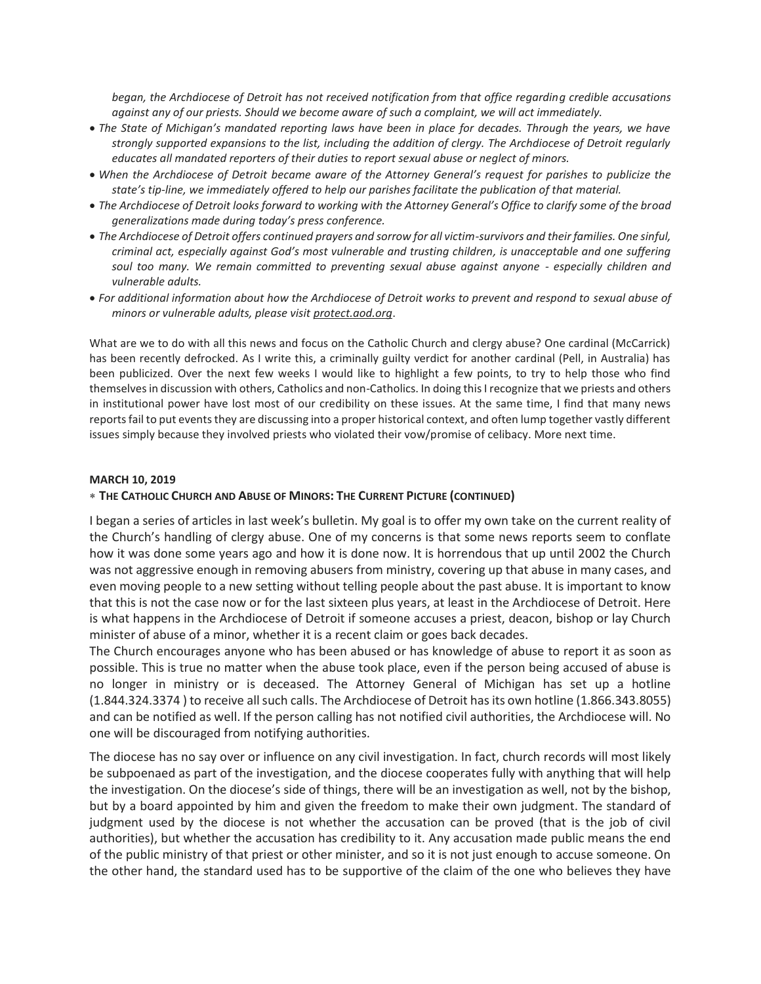*began, the Archdiocese of Detroit has not received notification from that office regarding credible accusations against any of our priests. Should we become aware of such a complaint, we will act immediately.*

- *The State of Michigan's mandated reporting laws have been in place for decades. Through the years, we have strongly supported expansions to the list, including the addition of clergy. The Archdiocese of Detroit regularly educates all mandated reporters of their duties to report sexual abuse or neglect of minors.*
- *When the Archdiocese of Detroit became aware of the Attorney General's request for parishes to publicize the state's tip-line, we immediately offered to help our parishes facilitate the publication of that material.*
- *The Archdiocese of Detroit looks forward to working with the Attorney General's Office to clarify some of the broad generalizations made during today's press conference.*
- *The Archdiocese of Detroit offers continued prayers and sorrow for all victim-survivors and their families. One sinful, criminal act, especially against God's most vulnerable and trusting children, is unacceptable and one suffering soul too many. We remain committed to preventing sexual abuse against anyone - especially children and vulnerable adults.*
- *For additional information about how the Archdiocese of Detroit works to prevent and respond to sexual abuse of minors or vulnerable adults, please visit protect.aod.org*.

What are we to do with all this news and focus on the Catholic Church and clergy abuse? One cardinal (McCarrick) has been recently defrocked. As I write this, a criminally guilty verdict for another cardinal (Pell, in Australia) has been publicized. Over the next few weeks I would like to highlight a few points, to try to help those who find themselves in discussion with others, Catholics and non-Catholics. In doing this I recognize that we priests and others in institutional power have lost most of our credibility on these issues. At the same time, I find that many news reports fail to put events they are discussing into a proper historical context, and often lump together vastly different issues simply because they involved priests who violated their vow/promise of celibacy. More next time.

## **MARCH 10, 2019**

## **THE CATHOLIC CHURCH AND ABUSE OF MINORS: THE CURRENT PICTURE (CONTINUED)**

I began a series of articles in last week's bulletin. My goal is to offer my own take on the current reality of the Church's handling of clergy abuse. One of my concerns is that some news reports seem to conflate how it was done some years ago and how it is done now. It is horrendous that up until 2002 the Church was not aggressive enough in removing abusers from ministry, covering up that abuse in many cases, and even moving people to a new setting without telling people about the past abuse. It is important to know that this is not the case now or for the last sixteen plus years, at least in the Archdiocese of Detroit. Here is what happens in the Archdiocese of Detroit if someone accuses a priest, deacon, bishop or lay Church minister of abuse of a minor, whether it is a recent claim or goes back decades.

The Church encourages anyone who has been abused or has knowledge of abuse to report it as soon as possible. This is true no matter when the abuse took place, even if the person being accused of abuse is no longer in ministry or is deceased. The Attorney General of Michigan has set up a hotline (1.844.324.3374 ) to receive all such calls. The Archdiocese of Detroit has its own hotline (1.866.343.8055) and can be notified as well. If the person calling has not notified civil authorities, the Archdiocese will. No one will be discouraged from notifying authorities.

The diocese has no say over or influence on any civil investigation. In fact, church records will most likely be subpoenaed as part of the investigation, and the diocese cooperates fully with anything that will help the investigation. On the diocese's side of things, there will be an investigation as well, not by the bishop, but by a board appointed by him and given the freedom to make their own judgment. The standard of judgment used by the diocese is not whether the accusation can be proved (that is the job of civil authorities), but whether the accusation has credibility to it. Any accusation made public means the end of the public ministry of that priest or other minister, and so it is not just enough to accuse someone. On the other hand, the standard used has to be supportive of the claim of the one who believes they have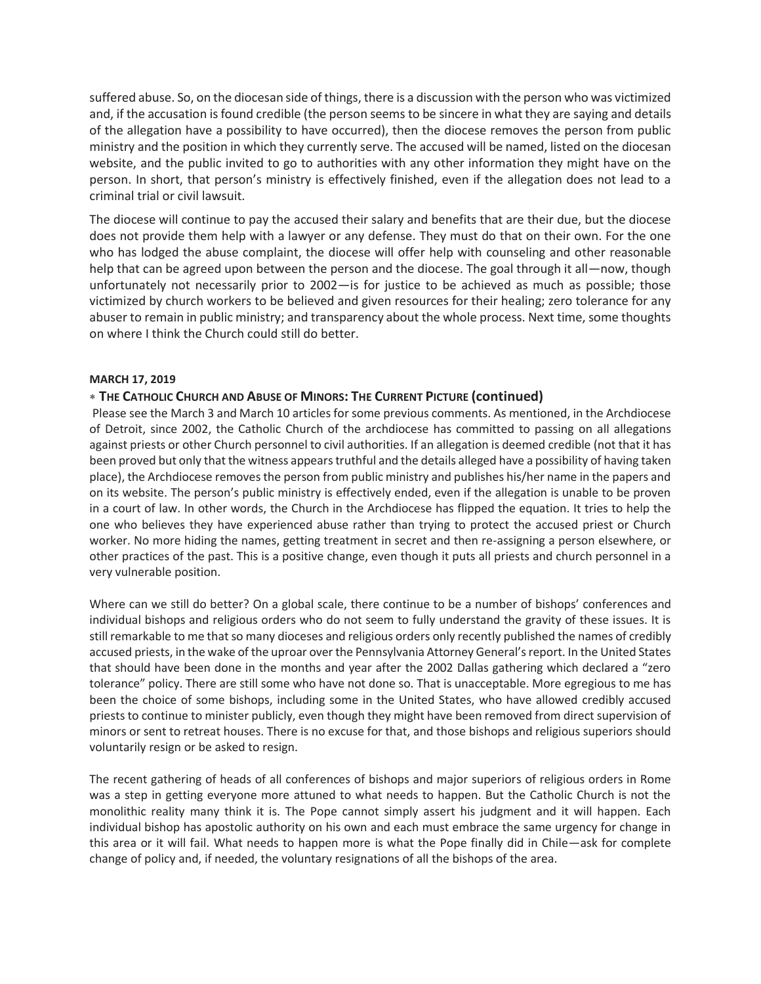suffered abuse. So, on the diocesan side of things, there is a discussion with the person who was victimized and, if the accusation is found credible (the person seems to be sincere in what they are saying and details of the allegation have a possibility to have occurred), then the diocese removes the person from public ministry and the position in which they currently serve. The accused will be named, listed on the diocesan website, and the public invited to go to authorities with any other information they might have on the person. In short, that person's ministry is effectively finished, even if the allegation does not lead to a criminal trial or civil lawsuit.

The diocese will continue to pay the accused their salary and benefits that are their due, but the diocese does not provide them help with a lawyer or any defense. They must do that on their own. For the one who has lodged the abuse complaint, the diocese will offer help with counseling and other reasonable help that can be agreed upon between the person and the diocese. The goal through it all—now, though unfortunately not necessarily prior to 2002—is for justice to be achieved as much as possible; those victimized by church workers to be believed and given resources for their healing; zero tolerance for any abuser to remain in public ministry; and transparency about the whole process. Next time, some thoughts on where I think the Church could still do better.

## **MARCH 17, 2019**

## **THE CATHOLIC CHURCH AND ABUSE OF MINORS: THE CURRENT PICTURE (continued)**

Please see the March 3 and March 10 articles for some previous comments. As mentioned, in the Archdiocese of Detroit, since 2002, the Catholic Church of the archdiocese has committed to passing on all allegations against priests or other Church personnel to civil authorities. If an allegation is deemed credible (not that it has been proved but only that the witness appears truthful and the details alleged have a possibility of having taken place), the Archdiocese removes the person from public ministry and publishes his/her name in the papers and on its website. The person's public ministry is effectively ended, even if the allegation is unable to be proven in a court of law. In other words, the Church in the Archdiocese has flipped the equation. It tries to help the one who believes they have experienced abuse rather than trying to protect the accused priest or Church worker. No more hiding the names, getting treatment in secret and then re-assigning a person elsewhere, or other practices of the past. This is a positive change, even though it puts all priests and church personnel in a very vulnerable position.

Where can we still do better? On a global scale, there continue to be a number of bishops' conferences and individual bishops and religious orders who do not seem to fully understand the gravity of these issues. It is still remarkable to me that so many dioceses and religious orders only recently published the names of credibly accused priests, in the wake of the uproar over the Pennsylvania Attorney General's report. In the United States that should have been done in the months and year after the 2002 Dallas gathering which declared a "zero tolerance" policy. There are still some who have not done so. That is unacceptable. More egregious to me has been the choice of some bishops, including some in the United States, who have allowed credibly accused priests to continue to minister publicly, even though they might have been removed from direct supervision of minors or sent to retreat houses. There is no excuse for that, and those bishops and religious superiors should voluntarily resign or be asked to resign.

The recent gathering of heads of all conferences of bishops and major superiors of religious orders in Rome was a step in getting everyone more attuned to what needs to happen. But the Catholic Church is not the monolithic reality many think it is. The Pope cannot simply assert his judgment and it will happen. Each individual bishop has apostolic authority on his own and each must embrace the same urgency for change in this area or it will fail. What needs to happen more is what the Pope finally did in Chile—ask for complete change of policy and, if needed, the voluntary resignations of all the bishops of the area.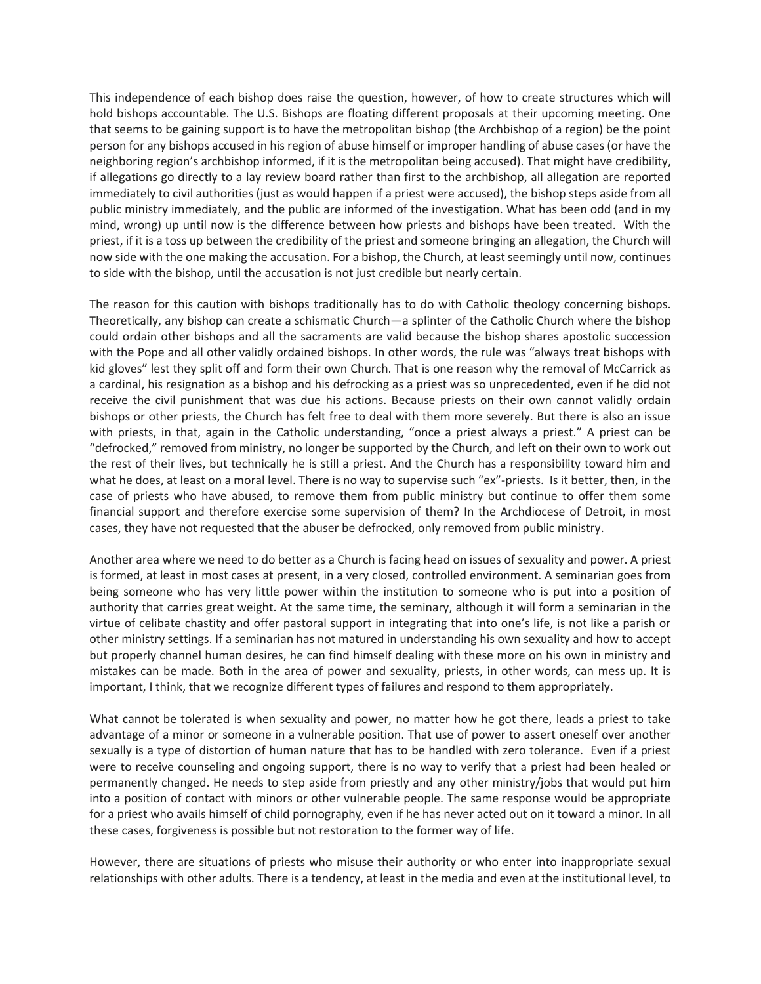This independence of each bishop does raise the question, however, of how to create structures which will hold bishops accountable. The U.S. Bishops are floating different proposals at their upcoming meeting. One that seems to be gaining support is to have the metropolitan bishop (the Archbishop of a region) be the point person for any bishops accused in his region of abuse himself or improper handling of abuse cases (or have the neighboring region's archbishop informed, if it is the metropolitan being accused). That might have credibility, if allegations go directly to a lay review board rather than first to the archbishop, all allegation are reported immediately to civil authorities (just as would happen if a priest were accused), the bishop steps aside from all public ministry immediately, and the public are informed of the investigation. What has been odd (and in my mind, wrong) up until now is the difference between how priests and bishops have been treated. With the priest, if it is a toss up between the credibility of the priest and someone bringing an allegation, the Church will now side with the one making the accusation. For a bishop, the Church, at least seemingly until now, continues to side with the bishop, until the accusation is not just credible but nearly certain.

The reason for this caution with bishops traditionally has to do with Catholic theology concerning bishops. Theoretically, any bishop can create a schismatic Church—a splinter of the Catholic Church where the bishop could ordain other bishops and all the sacraments are valid because the bishop shares apostolic succession with the Pope and all other validly ordained bishops. In other words, the rule was "always treat bishops with kid gloves" lest they split off and form their own Church. That is one reason why the removal of McCarrick as a cardinal, his resignation as a bishop and his defrocking as a priest was so unprecedented, even if he did not receive the civil punishment that was due his actions. Because priests on their own cannot validly ordain bishops or other priests, the Church has felt free to deal with them more severely. But there is also an issue with priests, in that, again in the Catholic understanding, "once a priest always a priest." A priest can be "defrocked," removed from ministry, no longer be supported by the Church, and left on their own to work out the rest of their lives, but technically he is still a priest. And the Church has a responsibility toward him and what he does, at least on a moral level. There is no way to supervise such "ex"-priests. Is it better, then, in the case of priests who have abused, to remove them from public ministry but continue to offer them some financial support and therefore exercise some supervision of them? In the Archdiocese of Detroit, in most cases, they have not requested that the abuser be defrocked, only removed from public ministry.

Another area where we need to do better as a Church is facing head on issues of sexuality and power. A priest is formed, at least in most cases at present, in a very closed, controlled environment. A seminarian goes from being someone who has very little power within the institution to someone who is put into a position of authority that carries great weight. At the same time, the seminary, although it will form a seminarian in the virtue of celibate chastity and offer pastoral support in integrating that into one's life, is not like a parish or other ministry settings. If a seminarian has not matured in understanding his own sexuality and how to accept but properly channel human desires, he can find himself dealing with these more on his own in ministry and mistakes can be made. Both in the area of power and sexuality, priests, in other words, can mess up. It is important, I think, that we recognize different types of failures and respond to them appropriately.

What cannot be tolerated is when sexuality and power, no matter how he got there, leads a priest to take advantage of a minor or someone in a vulnerable position. That use of power to assert oneself over another sexually is a type of distortion of human nature that has to be handled with zero tolerance. Even if a priest were to receive counseling and ongoing support, there is no way to verify that a priest had been healed or permanently changed. He needs to step aside from priestly and any other ministry/jobs that would put him into a position of contact with minors or other vulnerable people. The same response would be appropriate for a priest who avails himself of child pornography, even if he has never acted out on it toward a minor. In all these cases, forgiveness is possible but not restoration to the former way of life.

However, there are situations of priests who misuse their authority or who enter into inappropriate sexual relationships with other adults. There is a tendency, at least in the media and even at the institutional level, to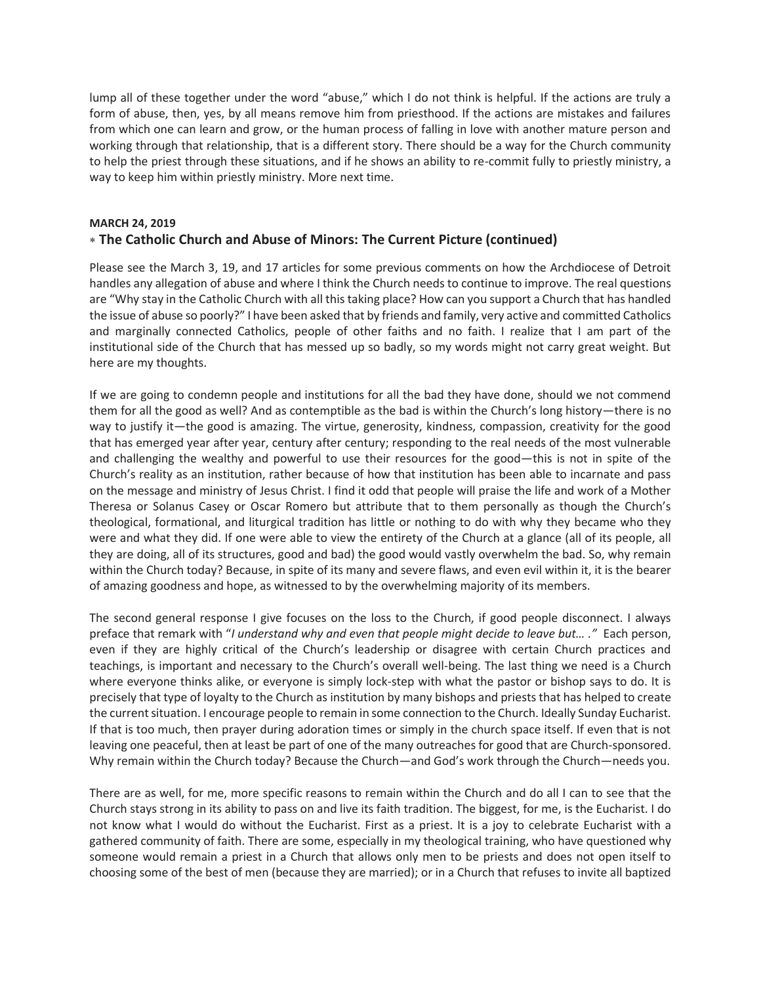lump all of these together under the word "abuse," which I do not think is helpful. If the actions are truly a form of abuse, then, yes, by all means remove him from priesthood. If the actions are mistakes and failures from which one can learn and grow, or the human process of falling in love with another mature person and working through that relationship, that is a different story. There should be a way for the Church community to help the priest through these situations, and if he shows an ability to re-commit fully to priestly ministry, a way to keep him within priestly ministry. More next time.

## **MARCH 24, 2019**

# **The Catholic Church and Abuse of Minors: The Current Picture (continued)**

Please see the March 3, 19, and 17 articles for some previous comments on how the Archdiocese of Detroit handles any allegation of abuse and where I think the Church needs to continue to improve. The real questions are "Why stay in the Catholic Church with all this taking place? How can you support a Church that has handled the issue of abuse so poorly?" I have been asked that by friends and family, very active and committed Catholics and marginally connected Catholics, people of other faiths and no faith. I realize that I am part of the institutional side of the Church that has messed up so badly, so my words might not carry great weight. But here are my thoughts.

If we are going to condemn people and institutions for all the bad they have done, should we not commend them for all the good as well? And as contemptible as the bad is within the Church's long history—there is no way to justify it—the good is amazing. The virtue, generosity, kindness, compassion, creativity for the good that has emerged year after year, century after century; responding to the real needs of the most vulnerable and challenging the wealthy and powerful to use their resources for the good—this is not in spite of the Church's reality as an institution, rather because of how that institution has been able to incarnate and pass on the message and ministry of Jesus Christ. I find it odd that people will praise the life and work of a Mother Theresa or Solanus Casey or Oscar Romero but attribute that to them personally as though the Church's theological, formational, and liturgical tradition has little or nothing to do with why they became who they were and what they did. If one were able to view the entirety of the Church at a glance (all of its people, all they are doing, all of its structures, good and bad) the good would vastly overwhelm the bad. So, why remain within the Church today? Because, in spite of its many and severe flaws, and even evil within it, it is the bearer of amazing goodness and hope, as witnessed to by the overwhelming majority of its members.

The second general response I give focuses on the loss to the Church, if good people disconnect. I always preface that remark with "*I understand why and even that people might decide to leave but… ."* Each person, even if they are highly critical of the Church's leadership or disagree with certain Church practices and teachings, is important and necessary to the Church's overall well-being. The last thing we need is a Church where everyone thinks alike, or everyone is simply lock-step with what the pastor or bishop says to do. It is precisely that type of loyalty to the Church as institution by many bishops and priests that has helped to create the current situation. I encourage people to remain in some connection to the Church. Ideally Sunday Eucharist. If that is too much, then prayer during adoration times or simply in the church space itself. If even that is not leaving one peaceful, then at least be part of one of the many outreaches for good that are Church-sponsored. Why remain within the Church today? Because the Church—and God's work through the Church—needs you.

There are as well, for me, more specific reasons to remain within the Church and do all I can to see that the Church stays strong in its ability to pass on and live its faith tradition. The biggest, for me, is the Eucharist. I do not know what I would do without the Eucharist. First as a priest. It is a joy to celebrate Eucharist with a gathered community of faith. There are some, especially in my theological training, who have questioned why someone would remain a priest in a Church that allows only men to be priests and does not open itself to choosing some of the best of men (because they are married); or in a Church that refuses to invite all baptized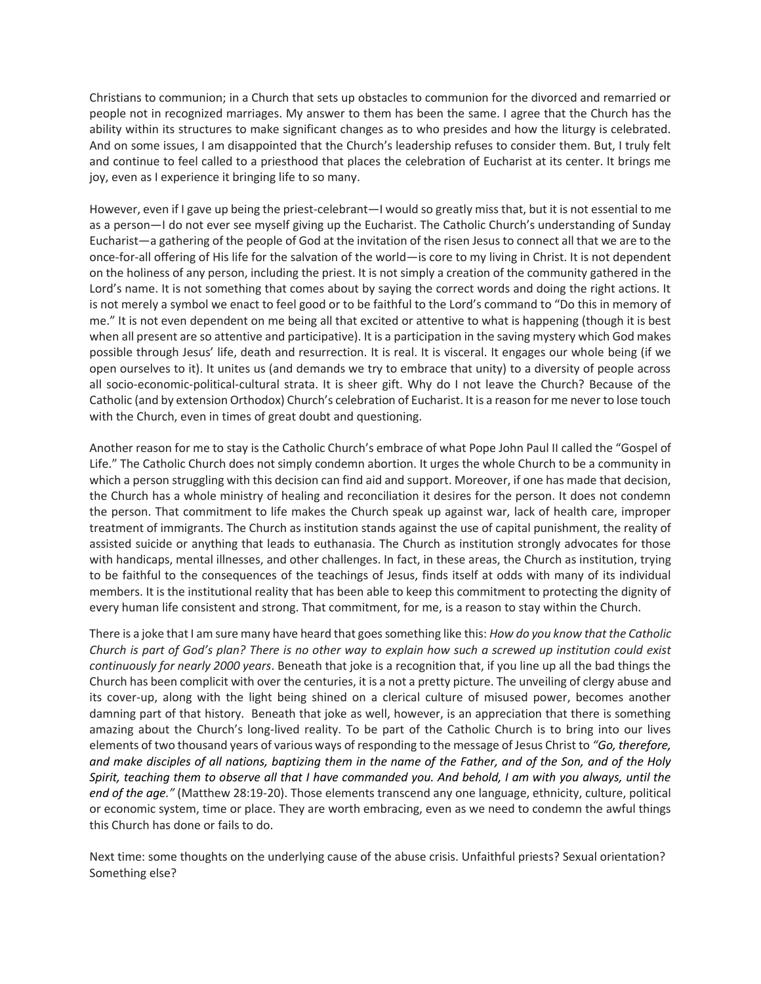Christians to communion; in a Church that sets up obstacles to communion for the divorced and remarried or people not in recognized marriages. My answer to them has been the same. I agree that the Church has the ability within its structures to make significant changes as to who presides and how the liturgy is celebrated. And on some issues, I am disappointed that the Church's leadership refuses to consider them. But, I truly felt and continue to feel called to a priesthood that places the celebration of Eucharist at its center. It brings me joy, even as I experience it bringing life to so many.

However, even if I gave up being the priest-celebrant—I would so greatly miss that, but it is not essential to me as a person—I do not ever see myself giving up the Eucharist. The Catholic Church's understanding of Sunday Eucharist—a gathering of the people of God at the invitation of the risen Jesus to connect all that we are to the once-for-all offering of His life for the salvation of the world—is core to my living in Christ. It is not dependent on the holiness of any person, including the priest. It is not simply a creation of the community gathered in the Lord's name. It is not something that comes about by saying the correct words and doing the right actions. It is not merely a symbol we enact to feel good or to be faithful to the Lord's command to "Do this in memory of me." It is not even dependent on me being all that excited or attentive to what is happening (though it is best when all present are so attentive and participative). It is a participation in the saving mystery which God makes possible through Jesus' life, death and resurrection. It is real. It is visceral. It engages our whole being (if we open ourselves to it). It unites us (and demands we try to embrace that unity) to a diversity of people across all socio-economic-political-cultural strata. It is sheer gift. Why do I not leave the Church? Because of the Catholic (and by extension Orthodox) Church's celebration of Eucharist. It is a reason for me never to lose touch with the Church, even in times of great doubt and questioning.

Another reason for me to stay is the Catholic Church's embrace of what Pope John Paul II called the "Gospel of Life." The Catholic Church does not simply condemn abortion. It urges the whole Church to be a community in which a person struggling with this decision can find aid and support. Moreover, if one has made that decision, the Church has a whole ministry of healing and reconciliation it desires for the person. It does not condemn the person. That commitment to life makes the Church speak up against war, lack of health care, improper treatment of immigrants. The Church as institution stands against the use of capital punishment, the reality of assisted suicide or anything that leads to euthanasia. The Church as institution strongly advocates for those with handicaps, mental illnesses, and other challenges. In fact, in these areas, the Church as institution, trying to be faithful to the consequences of the teachings of Jesus, finds itself at odds with many of its individual members. It is the institutional reality that has been able to keep this commitment to protecting the dignity of every human life consistent and strong. That commitment, for me, is a reason to stay within the Church.

There is a joke that I am sure many have heard that goes something like this: *How do you know that the Catholic Church is part of God's plan? There is no other way to explain how such a screwed up institution could exist continuously for nearly 2000 years*. Beneath that joke is a recognition that, if you line up all the bad things the Church has been complicit with over the centuries, it is a not a pretty picture. The unveiling of clergy abuse and its cover-up, along with the light being shined on a clerical culture of misused power, becomes another damning part of that history. Beneath that joke as well, however, is an appreciation that there is something amazing about the Church's long-lived reality. To be part of the Catholic Church is to bring into our lives elements of two thousand years of various ways of responding to the message of Jesus Christ to *"Go, therefore, and make disciples of all nations, baptizing them in the name of the Father, and of the Son, and of the Holy Spirit, teaching them to observe all that I have commanded you. And behold, I am with you always, until the end of the age."* (Matthew 28:19-20). Those elements transcend any one language, ethnicity, culture, political or economic system, time or place. They are worth embracing, even as we need to condemn the awful things this Church has done or fails to do.

Next time: some thoughts on the underlying cause of the abuse crisis. Unfaithful priests? Sexual orientation? Something else?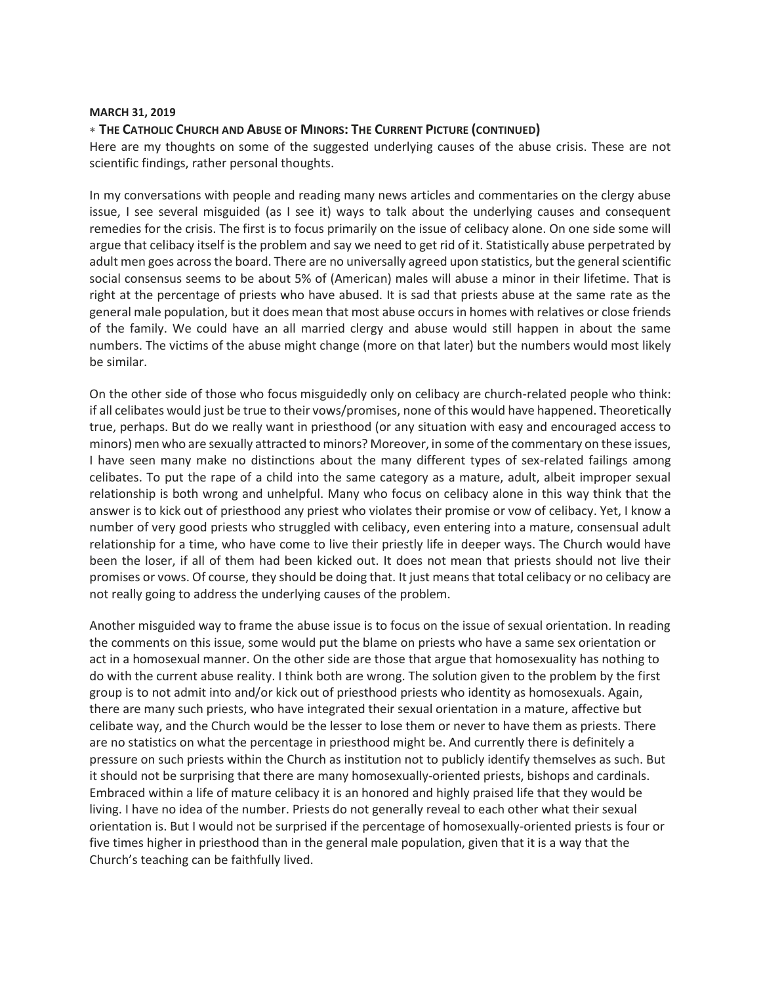### **MARCH 31, 2019**

## **THE CATHOLIC CHURCH AND ABUSE OF MINORS: THE CURRENT PICTURE (CONTINUED)**

Here are my thoughts on some of the suggested underlying causes of the abuse crisis. These are not scientific findings, rather personal thoughts.

In my conversations with people and reading many news articles and commentaries on the clergy abuse issue, I see several misguided (as I see it) ways to talk about the underlying causes and consequent remedies for the crisis. The first is to focus primarily on the issue of celibacy alone. On one side some will argue that celibacy itself is the problem and say we need to get rid of it. Statistically abuse perpetrated by adult men goes across the board. There are no universally agreed upon statistics, but the general scientific social consensus seems to be about 5% of (American) males will abuse a minor in their lifetime. That is right at the percentage of priests who have abused. It is sad that priests abuse at the same rate as the general male population, but it does mean that most abuse occurs in homes with relatives or close friends of the family. We could have an all married clergy and abuse would still happen in about the same numbers. The victims of the abuse might change (more on that later) but the numbers would most likely be similar.

On the other side of those who focus misguidedly only on celibacy are church-related people who think: if all celibates would just be true to their vows/promises, none of this would have happened. Theoretically true, perhaps. But do we really want in priesthood (or any situation with easy and encouraged access to minors) men who are sexually attracted to minors? Moreover, in some of the commentary on these issues, I have seen many make no distinctions about the many different types of sex-related failings among celibates. To put the rape of a child into the same category as a mature, adult, albeit improper sexual relationship is both wrong and unhelpful. Many who focus on celibacy alone in this way think that the answer is to kick out of priesthood any priest who violates their promise or vow of celibacy. Yet, I know a number of very good priests who struggled with celibacy, even entering into a mature, consensual adult relationship for a time, who have come to live their priestly life in deeper ways. The Church would have been the loser, if all of them had been kicked out. It does not mean that priests should not live their promises or vows. Of course, they should be doing that. It just means that total celibacy or no celibacy are not really going to address the underlying causes of the problem.

Another misguided way to frame the abuse issue is to focus on the issue of sexual orientation. In reading the comments on this issue, some would put the blame on priests who have a same sex orientation or act in a homosexual manner. On the other side are those that argue that homosexuality has nothing to do with the current abuse reality. I think both are wrong. The solution given to the problem by the first group is to not admit into and/or kick out of priesthood priests who identity as homosexuals. Again, there are many such priests, who have integrated their sexual orientation in a mature, affective but celibate way, and the Church would be the lesser to lose them or never to have them as priests. There are no statistics on what the percentage in priesthood might be. And currently there is definitely a pressure on such priests within the Church as institution not to publicly identify themselves as such. But it should not be surprising that there are many homosexually-oriented priests, bishops and cardinals. Embraced within a life of mature celibacy it is an honored and highly praised life that they would be living. I have no idea of the number. Priests do not generally reveal to each other what their sexual orientation is. But I would not be surprised if the percentage of homosexually-oriented priests is four or five times higher in priesthood than in the general male population, given that it is a way that the Church's teaching can be faithfully lived.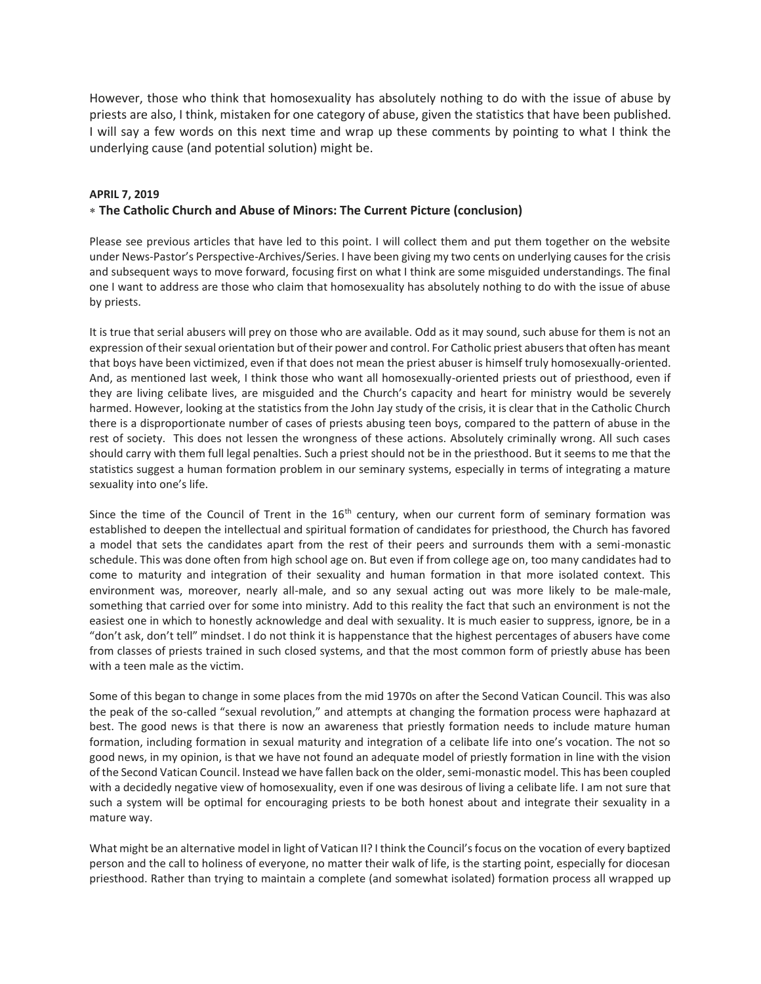However, those who think that homosexuality has absolutely nothing to do with the issue of abuse by priests are also, I think, mistaken for one category of abuse, given the statistics that have been published. I will say a few words on this next time and wrap up these comments by pointing to what I think the underlying cause (and potential solution) might be.

### **APRIL 7, 2019**

## **The Catholic Church and Abuse of Minors: The Current Picture (conclusion)**

Please see previous articles that have led to this point. I will collect them and put them together on the website under News-Pastor's Perspective-Archives/Series. I have been giving my two cents on underlying causes for the crisis and subsequent ways to move forward, focusing first on what I think are some misguided understandings. The final one I want to address are those who claim that homosexuality has absolutely nothing to do with the issue of abuse by priests.

It is true that serial abusers will prey on those who are available. Odd as it may sound, such abuse for them is not an expression of their sexual orientation but of their power and control. For Catholic priest abusers that often has meant that boys have been victimized, even if that does not mean the priest abuser is himself truly homosexually-oriented. And, as mentioned last week, I think those who want all homosexually-oriented priests out of priesthood, even if they are living celibate lives, are misguided and the Church's capacity and heart for ministry would be severely harmed. However, looking at the statistics from the John Jay study of the crisis, it is clear that in the Catholic Church there is a disproportionate number of cases of priests abusing teen boys, compared to the pattern of abuse in the rest of society. This does not lessen the wrongness of these actions. Absolutely criminally wrong. All such cases should carry with them full legal penalties. Such a priest should not be in the priesthood. But it seems to me that the statistics suggest a human formation problem in our seminary systems, especially in terms of integrating a mature sexuality into one's life.

Since the time of the Council of Trent in the  $16<sup>th</sup>$  century, when our current form of seminary formation was established to deepen the intellectual and spiritual formation of candidates for priesthood, the Church has favored a model that sets the candidates apart from the rest of their peers and surrounds them with a semi-monastic schedule. This was done often from high school age on. But even if from college age on, too many candidates had to come to maturity and integration of their sexuality and human formation in that more isolated context. This environment was, moreover, nearly all-male, and so any sexual acting out was more likely to be male-male, something that carried over for some into ministry. Add to this reality the fact that such an environment is not the easiest one in which to honestly acknowledge and deal with sexuality. It is much easier to suppress, ignore, be in a "don't ask, don't tell" mindset. I do not think it is happenstance that the highest percentages of abusers have come from classes of priests trained in such closed systems, and that the most common form of priestly abuse has been with a teen male as the victim.

Some of this began to change in some places from the mid 1970s on after the Second Vatican Council. This was also the peak of the so-called "sexual revolution," and attempts at changing the formation process were haphazard at best. The good news is that there is now an awareness that priestly formation needs to include mature human formation, including formation in sexual maturity and integration of a celibate life into one's vocation. The not so good news, in my opinion, is that we have not found an adequate model of priestly formation in line with the vision of the Second Vatican Council. Instead we have fallen back on the older, semi-monastic model. This has been coupled with a decidedly negative view of homosexuality, even if one was desirous of living a celibate life. I am not sure that such a system will be optimal for encouraging priests to be both honest about and integrate their sexuality in a mature way.

What might be an alternative model in light of Vatican II? I think the Council's focus on the vocation of every baptized person and the call to holiness of everyone, no matter their walk of life, is the starting point, especially for diocesan priesthood. Rather than trying to maintain a complete (and somewhat isolated) formation process all wrapped up